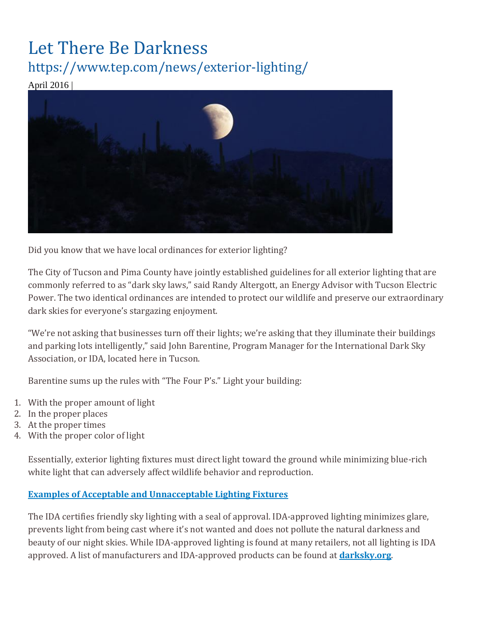## Let There Be Darkness https://www.tep.com/news/exterior-lighting/

April 2016 |



Did you know that we have local ordinances for exterior lighting?

The City of Tucson and Pima County have jointly established guidelines for all exterior lighting that are commonly referred to as "dark sky laws," said Randy Altergott, an Energy Advisor with Tucson Electric Power. The two identical ordinances are intended to protect our wildlife and preserve our extraordinary dark skies for everyone's stargazing enjoyment.

"We're not asking that businesses turn off their lights; we're asking that they illuminate their buildings and parking lots intelligently," said John Barentine, Program Manager for the International Dark Sky Association, or IDA, located here in Tucson.

Barentine sums up the rules with "The Four P's." Light your building:

- 1. With the proper amount of light
- 2. In the proper places
- 3. At the proper times
- 4. With the proper color of light

Essentially, exterior lighting fixtures must direct light toward the ground while minimizing blue-rich white light that can adversely affect wildlife behavior and reproduction.

## **[Examples of Acceptable and Unnacceptable Lighting Fixtures](https://www.tep.com/doc/news/Lighting_Fixtures.pdf)**

The IDA certifies friendly sky lighting with a seal of approval. IDA-approved lighting minimizes glare, prevents light from being cast where it's not wanted and does not pollute the natural darkness and beauty of our night skies. While IDA-approved lighting is found at many retailers, not all lighting is IDA approved. A list of manufacturers and IDA-approved products can be found at **[darksky.org](http://darksky.org/)**.